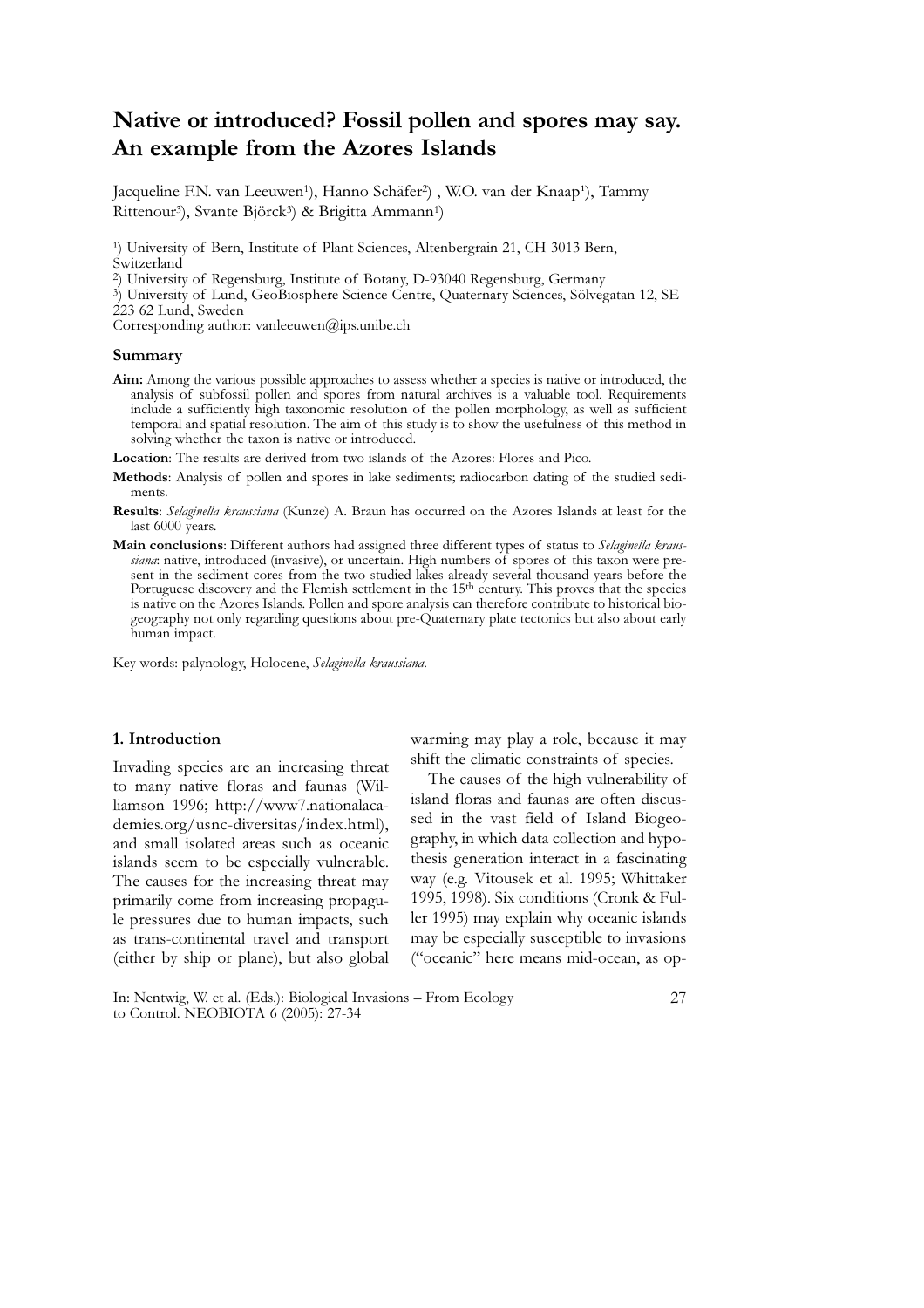# Native or introduced? Fossil pollen and spores may say. An example from the Azores Islands

Jacqueline F.N. van Leeuwen<sup>1</sup>), Hanno Schäfer<sup>2</sup>), W.O. van der Knaap<sup>1</sup>), Tammy Rittenour<sup>3</sup>), Svante Björck<sup>3</sup>) & Brigitta Ammann<sup>1</sup>)

<sup>1</sup>) University of Bern, Institute of Plant Sciences, Altenbergrain 21, CH-3013 Bern, Switzerland

2) University of Regensburg, Institute of Botany, D-93040 Regensburg, Germany

3) University of Lund, GeoBiosphere Science Centre, Quaternary Sciences, Sölvegatan 12, SE-223 62 Lund, Sweden

Corresponding author: vanleeuwen@ips.unibe.ch

#### Summary

- Aim: Among the various possible approaches to assess whether a species is native or introduced, the analysis of subfossil pollen and spores from natural archives is a valuable tool. Requirements include a sufficiently high taxonomic resolution of the pollen morphology, as well as sufficient temporal and spatial resolution. The aim of this study is to show the usefulness of this method in solving whether the taxon is native or introduced.
- Location: The results are derived from two islands of the Azores: Flores and Pico.
- Methods: Analysis of pollen and spores in lake sediments; radiocarbon dating of the studied sediments.
- Results: Selaginella kraussiana (Kunze) A. Braun has occurred on the Azores Islands at least for the last 6000 years.
- Main conclusions: Different authors had assigned three different types of status to Selaginella kraussiana: native, introduced (invasive), or uncertain. High numbers of spores of this taxon were present in the sediment cores from the two studied lakes already several thousand years before the Portuguese discovery and the Flemish settlement in the 15<sup>th</sup> century. This proves that the species is native on the Azores Islands. Pollen and spore analysis can therefore contribute to historical biogeography not only regarding questions about pre-Quaternary plate tectonics but also about early human impact.

Key words: palynology, Holocene, Selaginella kraussiana.

# 1. Introduction

Invading species are an increasing threat to many native floras and faunas (Williamson 1996; http://www7.nationalacademies.org/usnc-diversitas/index.html), and small isolated areas such as oceanic islands seem to be especially vulnerable. The causes for the increasing threat may primarily come from increasing propagule pressures due to human impacts, such as trans-continental travel and transport (either by ship or plane), but also global warming may play a role, because it may shift the climatic constraints of species.

The causes of the high vulnerability of island floras and faunas are often discussed in the vast field of Island Biogeography, in which data collection and hypothesis generation interact in a fascinating way (e.g. Vitousek et al. 1995; Whittaker 1995, 1998). Six conditions (Cronk & Fuller 1995) may explain why oceanic islands may be especially susceptible to invasions ("oceanic" here means mid-ocean, as op-

In: Nentwig, W. et al. (Eds.): Biological Invasions – From Ecology to Control. NEOBIOTA 6 (2005): 27-34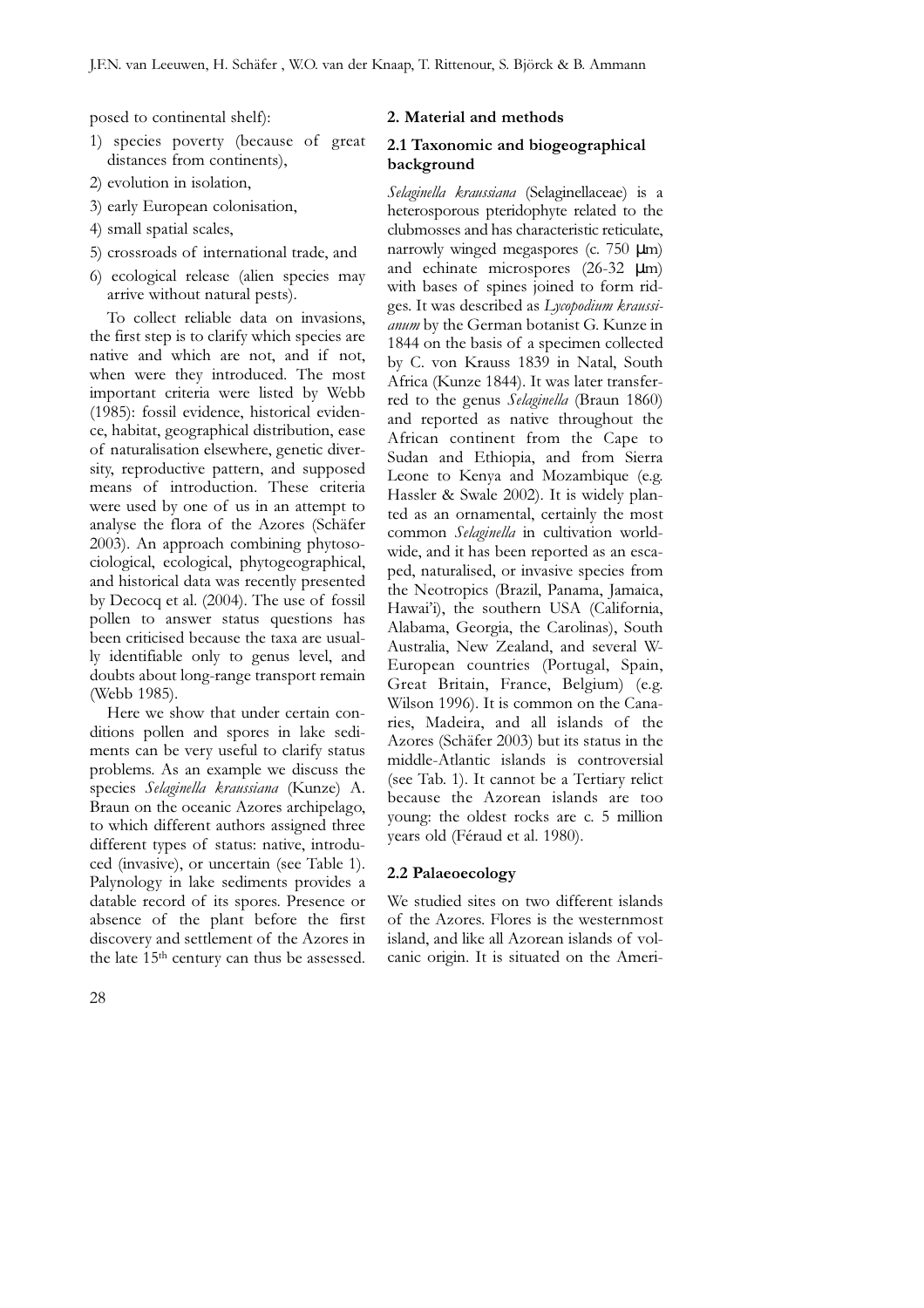posed to continental shelf):

- 1) species poverty (because of great distances from continents),
- 2) evolution in isolation,
- 3) early European colonisation,
- 4) small spatial scales,
- 5) crossroads of international trade, and
- 6) ecological release (alien species may arrive without natural pests).

To collect reliable data on invasions, the first step is to clarify which species are native and which are not, and if not, when were they introduced. The most important criteria were listed by Webb (1985): fossil evidence, historical evidence, habitat, geographical distribution, ease of naturalisation elsewhere, genetic diversity, reproductive pattern, and supposed means of introduction. These criteria were used by one of us in an attempt to analyse the flora of the Azores (Schäfer 2003). An approach combining phytosociological, ecological, phytogeographical, and historical data was recently presented by Decocq et al. (2004). The use of fossil pollen to answer status questions has been criticised because the taxa are usually identifiable only to genus level, and doubts about long-range transport remain (Webb 1985).

Here we show that under certain conditions pollen and spores in lake sediments can be very useful to clarify status problems. As an example we discuss the species Selaginella kraussiana (Kunze) A. Braun on the oceanic Azores archipelago, to which different authors assigned three different types of status: native, introduced (invasive), or uncertain (see Table 1). Palynology in lake sediments provides a datable record of its spores. Presence or absence of the plant before the first discovery and settlement of the Azores in the late 15th century can thus be assessed.

## 2. Material and methods

# 2.1 Taxonomic and biogeographical background

Selaginella kraussiana (Selaginellaceae) is a heterosporous pteridophyte related to the clubmosses and has characteristic reticulate, narrowly winged megaspores (c. 750 µm) and echinate microspores (26-32 µm) with bases of spines joined to form ridges. It was described as Lycopodium kraussianum by the German botanist G. Kunze in 1844 on the basis of a specimen collected by C. von Krauss 1839 in Natal, South Africa (Kunze 1844). It was later transferred to the genus Selaginella (Braun 1860) and reported as native throughout the African continent from the Cape to Sudan and Ethiopia, and from Sierra Leone to Kenya and Mozambique (e.g. Hassler & Swale 2002). It is widely planted as an ornamental, certainly the most common Selaginella in cultivation worldwide, and it has been reported as an escaped, naturalised, or invasive species from the Neotropics (Brazil, Panama, Jamaica, Hawai'i), the southern USA (California, Alabama, Georgia, the Carolinas), South Australia, New Zealand, and several W-European countries (Portugal, Spain, Great Britain, France, Belgium) (e.g. Wilson 1996). It is common on the Canaries, Madeira, and all islands of the Azores (Schäfer 2003) but its status in the middle-Atlantic islands is controversial (see Tab. 1). It cannot be a Tertiary relict because the Azorean islands are too young: the oldest rocks are c. 5 million years old (Féraud et al. 1980).

#### 2.2 Palaeoecology

We studied sites on two different islands of the Azores. Flores is the westernmost island, and like all Azorean islands of volcanic origin. It is situated on the Ameri-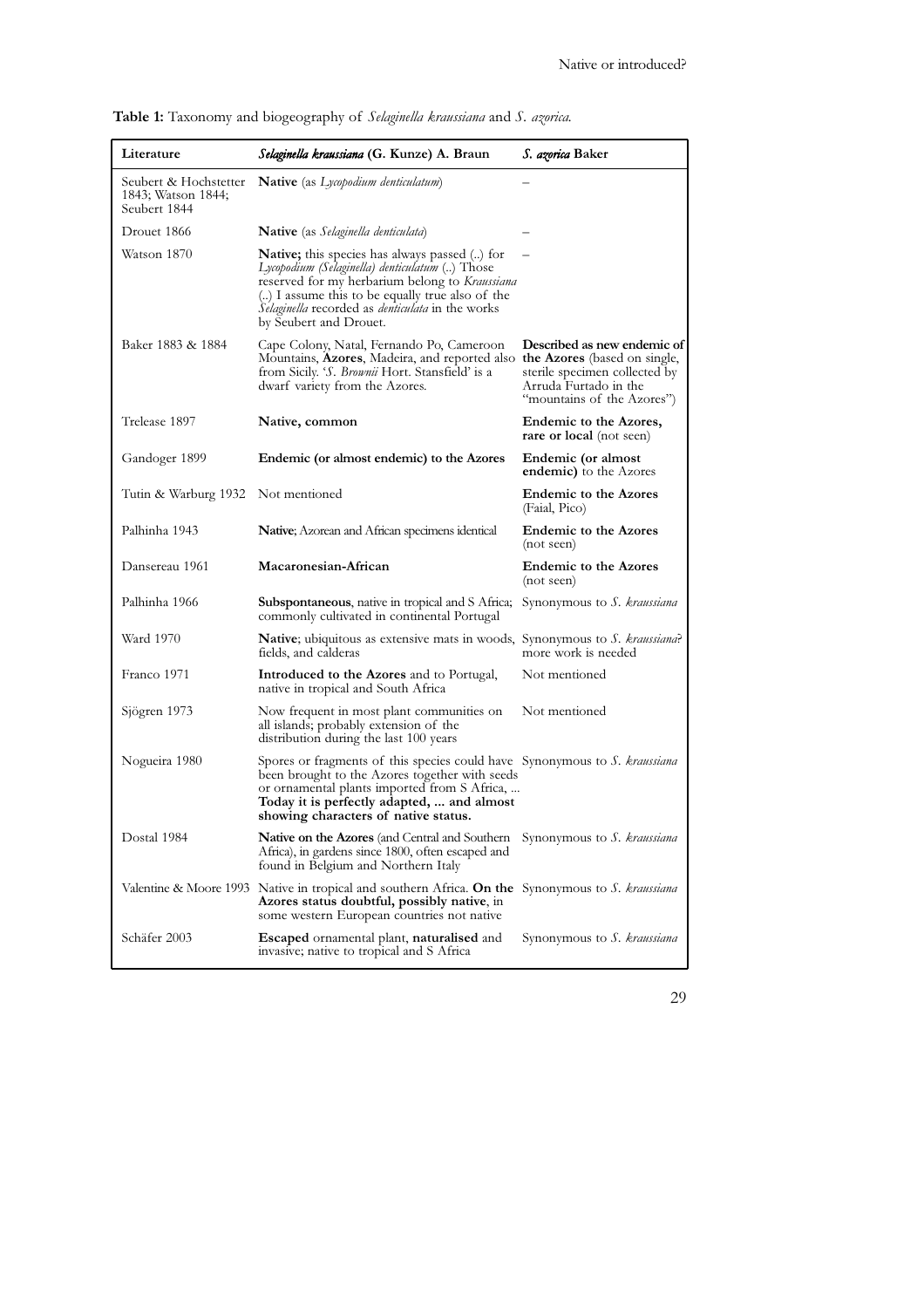| Literature                                                  | Selaginella kraussiana (G. Kunze) A. Braun                                                                                                                                                                                                                                                       | <i>S. azorica</i> Baker                                                                                             |
|-------------------------------------------------------------|--------------------------------------------------------------------------------------------------------------------------------------------------------------------------------------------------------------------------------------------------------------------------------------------------|---------------------------------------------------------------------------------------------------------------------|
| Seubert & Hochstetter<br>1843; Watson 1844;<br>Seubert 1844 | Native (as Lycopodium denticulatum)                                                                                                                                                                                                                                                              |                                                                                                                     |
| Drouet 1866                                                 | <b>Native</b> (as Selaginella denticulata)                                                                                                                                                                                                                                                       |                                                                                                                     |
| Watson 1870                                                 | <b>Native;</b> this species has always passed () for<br>Lycopodium (Selaginella) denticulatum () Those<br>reserved for my herbarium belong to Kraussiana<br>() I assume this to be equally true also of the<br>Selaginella recorded as <i>denticulata</i> in the works<br>by Seubert and Drouet. |                                                                                                                     |
| Baker 1883 & 1884                                           | Cape Colony, Natal, Fernando Po, Cameroon<br>Mountains, Azores, Madeira, and reported also the Azores (based on single,<br>from Sicily. 'S. Brownii Hort. Stansfield' is a<br>dwarf variety from the Azores.                                                                                     | Described as new endemic of<br>sterile specimen collected by<br>Arruda Furtado in the<br>"mountains of the Azores") |
| Trelease 1897                                               | Native, common                                                                                                                                                                                                                                                                                   | Endemic to the Azores,<br><b>rare or local</b> (not seen)                                                           |
| Gandoger 1899                                               | Endemic (or almost endemic) to the Azores                                                                                                                                                                                                                                                        | Endemic (or almost<br><b>endemic</b> ) to the Azores                                                                |
| Tutin & Warburg 1932                                        | Not mentioned                                                                                                                                                                                                                                                                                    | <b>Endemic to the Azores</b><br>(Faial, Pico)                                                                       |
| Palhinha 1943                                               | <b>Native</b> ; Azorean and African specimens identical                                                                                                                                                                                                                                          | <b>Endemic to the Azores</b><br>(not seen)                                                                          |
| Dansereau 1961                                              | Macaronesian-African                                                                                                                                                                                                                                                                             | <b>Endemic to the Azores</b><br>(not seen)                                                                          |
| Palhinha 1966                                               | Subspontaneous, native in tropical and S Africa; Synonymous to S. kraussiana<br>commonly cultivated in continental Portugal                                                                                                                                                                      |                                                                                                                     |
| Ward 1970                                                   | <b>Native</b> ; ubiquitous as extensive mats in woods, Synonymous to S. kraussiana?<br>fields, and calderas                                                                                                                                                                                      | more work is needed                                                                                                 |
| Franco 1971                                                 | Introduced to the Azores and to Portugal,<br>native in tropical and South Africa                                                                                                                                                                                                                 | Not mentioned                                                                                                       |
| Sjögren 1973                                                | Now frequent in most plant communities on<br>all islands; probably extension of the<br>distribution during the last 100 years                                                                                                                                                                    | Not mentioned                                                                                                       |
| Nogueira 1980                                               | Spores or fragments of this species could have Synonymous to S. kraussiana<br>been brought to the Azores together with seeds<br>or ornamental plants imported from S Africa,<br>Today it is perfectly adapted,  and almost<br>showing characters of native status.                               |                                                                                                                     |
| Dostal 1984                                                 | <b>Native on the Azores</b> (and Central and Southern<br>Africa), in gardens since 1800, often escaped and<br>found in Belgium and Northern Italy                                                                                                                                                | Synonymous to S. kraussiana                                                                                         |
|                                                             | Valentine & Moore 1993 Native in tropical and southern Africa. On the Synonymous to S. kraussiana<br>Azores status doubtful, possibly native, in<br>some western European countries not native                                                                                                   |                                                                                                                     |
| Schäfer 2003                                                | <b>Escaped</b> ornamental plant, <b>naturalised</b> and<br>invasive; native to tropical and S Africa                                                                                                                                                                                             | Synonymous to S. kraussiana                                                                                         |

Table 1: Taxonomy and biogeography of Selaginella kraussiana and S. azorica.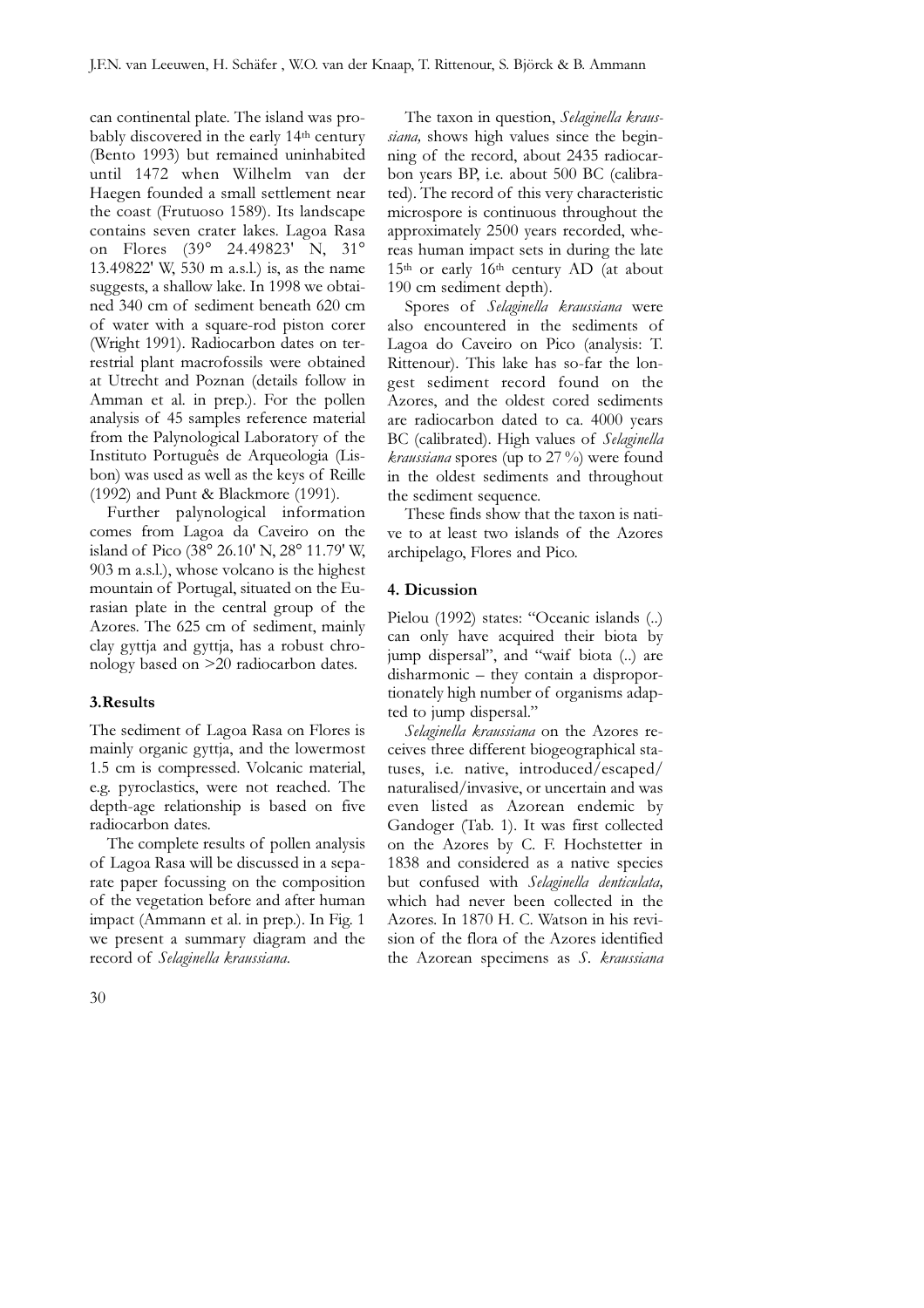can continental plate. The island was probably discovered in the early 14th century (Bento 1993) but remained uninhabited until 1472 when Wilhelm van der Haegen founded a small settlement near the coast (Frutuoso 1589). Its landscape contains seven crater lakes. Lagoa Rasa on Flores (39° 24.49823' N, 31° 13.49822' W, 530 m a.s.l.) is, as the name suggests, a shallow lake. In 1998 we obtained 340 cm of sediment beneath 620 cm of water with a square-rod piston corer (Wright 1991). Radiocarbon dates on terrestrial plant macrofossils were obtained at Utrecht and Poznan (details follow in Amman et al. in prep.). For the pollen analysis of 45 samples reference material from the Palynological Laboratory of the Instituto Português de Arqueologia (Lisbon) was used as well as the keys of Reille (1992) and Punt & Blackmore (1991).

Further palynological information comes from Lagoa da Caveiro on the island of Pico (38° 26.10' N, 28° 11.79' W, 903 m a.s.l.), whose volcano is the highest mountain of Portugal, situated on the Eurasian plate in the central group of the Azores. The 625 cm of sediment, mainly clay gyttja and gyttja, has a robust chronology based on >20 radiocarbon dates.

#### 3.Results

The sediment of Lagoa Rasa on Flores is mainly organic gyttja, and the lowermost 1.5 cm is compressed. Volcanic material, e.g. pyroclastics, were not reached. The depth-age relationship is based on five radiocarbon dates.

The complete results of pollen analysis of Lagoa Rasa will be discussed in a separate paper focussing on the composition of the vegetation before and after human impact (Ammann et al. in prep.). In Fig. 1 we present a summary diagram and the record of Selaginella kraussiana.

The taxon in question, Selaginella kraussiana, shows high values since the beginning of the record, about 2435 radiocarbon years BP, i.e. about 500 BC (calibrated). The record of this very characteristic microspore is continuous throughout the approximately 2500 years recorded, whereas human impact sets in during the late  $15<sup>th</sup>$  or early  $16<sup>th</sup>$  century AD (at about 190 cm sediment depth).

Spores of Selaginella kraussiana were also encountered in the sediments of Lagoa do Caveiro on Pico (analysis: T. Rittenour). This lake has so-far the longest sediment record found on the Azores, and the oldest cored sediments are radiocarbon dated to ca. 4000 years BC (calibrated). High values of Selaginella *kraussiana* spores (up to  $27\%$ ) were found in the oldest sediments and throughout the sediment sequence.

These finds show that the taxon is native to at least two islands of the Azores archipelago, Flores and Pico.

## 4. Dicussion

Pielou (1992) states: "Oceanic islands (..) can only have acquired their biota by jump dispersal", and "waif biota (..) are disharmonic – they contain a disproportionately high number of organisms adapted to jump dispersal."

Selaginella kraussiana on the Azores receives three different biogeographical statuses, i.e. native, introduced/escaped/ naturalised/invasive, or uncertain and was even listed as Azorean endemic by Gandoger (Tab. 1). It was first collected on the Azores by C. F. Hochstetter in 1838 and considered as a native species but confused with Selaginella denticulata, which had never been collected in the Azores. In 1870 H. C. Watson in his revision of the flora of the Azores identified the Azorean specimens as S. kraussiana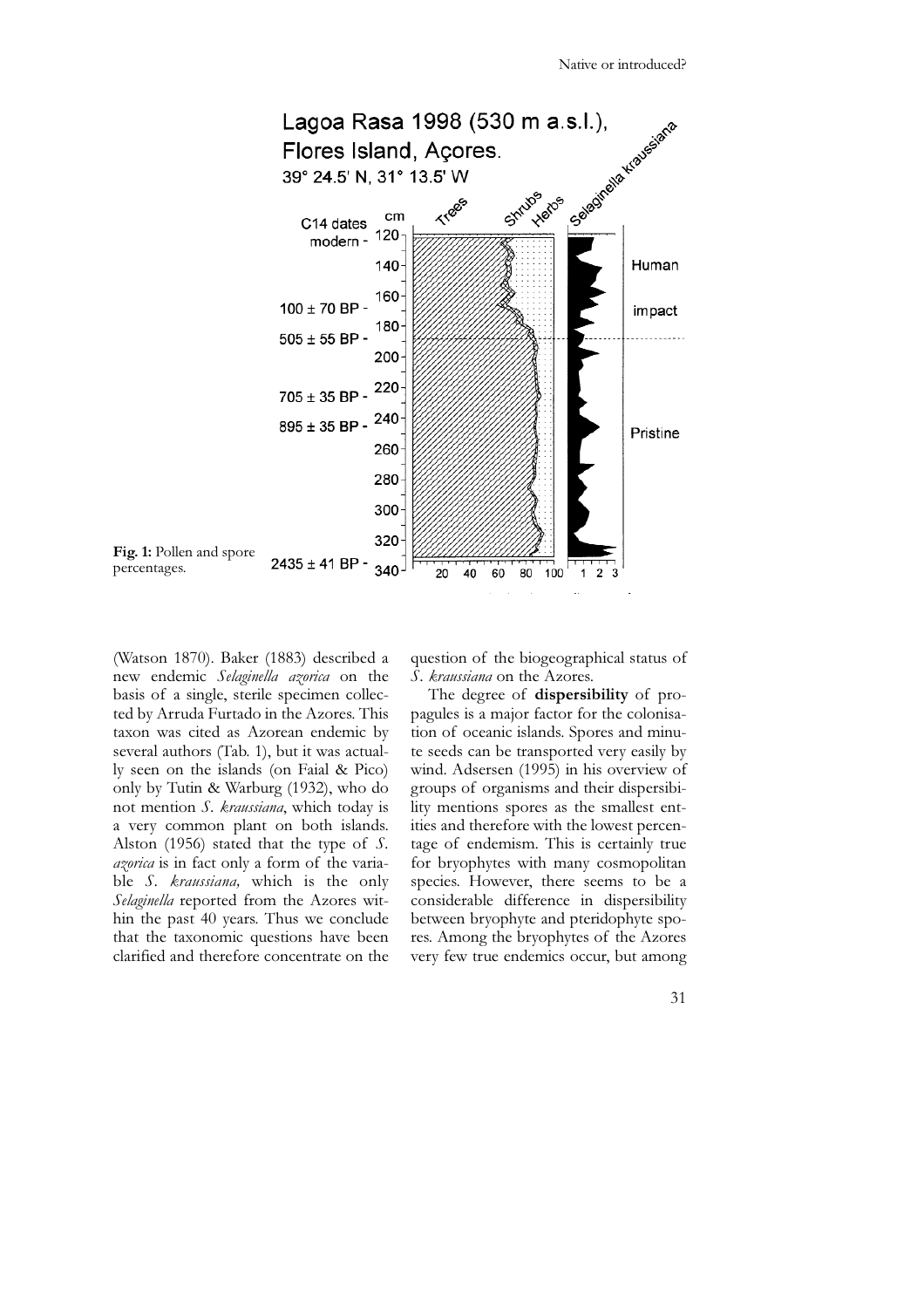

(Watson 1870). Baker (1883) described a new endemic Selaginella azorica on the basis of a single, sterile specimen collected by Arruda Furtado in the Azores. This taxon was cited as Azorean endemic by several authors (Tab. 1), but it was actually seen on the islands (on Faial & Pico) only by Tutin & Warburg (1932), who do not mention S. kraussiana, which today is a very common plant on both islands. Alston (1956) stated that the type of S. azorica is in fact only a form of the variable S. kraussiana, which is the only Selaginella reported from the Azores within the past 40 years. Thus we conclude that the taxonomic questions have been clarified and therefore concentrate on the question of the biogeographical status of S. kraussiana on the Azores.

The degree of dispersibility of propagules is a major factor for the colonisation of oceanic islands. Spores and minute seeds can be transported very easily by wind. Adsersen (1995) in his overview of groups of organisms and their dispersibility mentions spores as the smallest entities and therefore with the lowest percentage of endemism. This is certainly true for bryophytes with many cosmopolitan species. However, there seems to be a considerable difference in dispersibility between bryophyte and pteridophyte spores. Among the bryophytes of the Azores very few true endemics occur, but among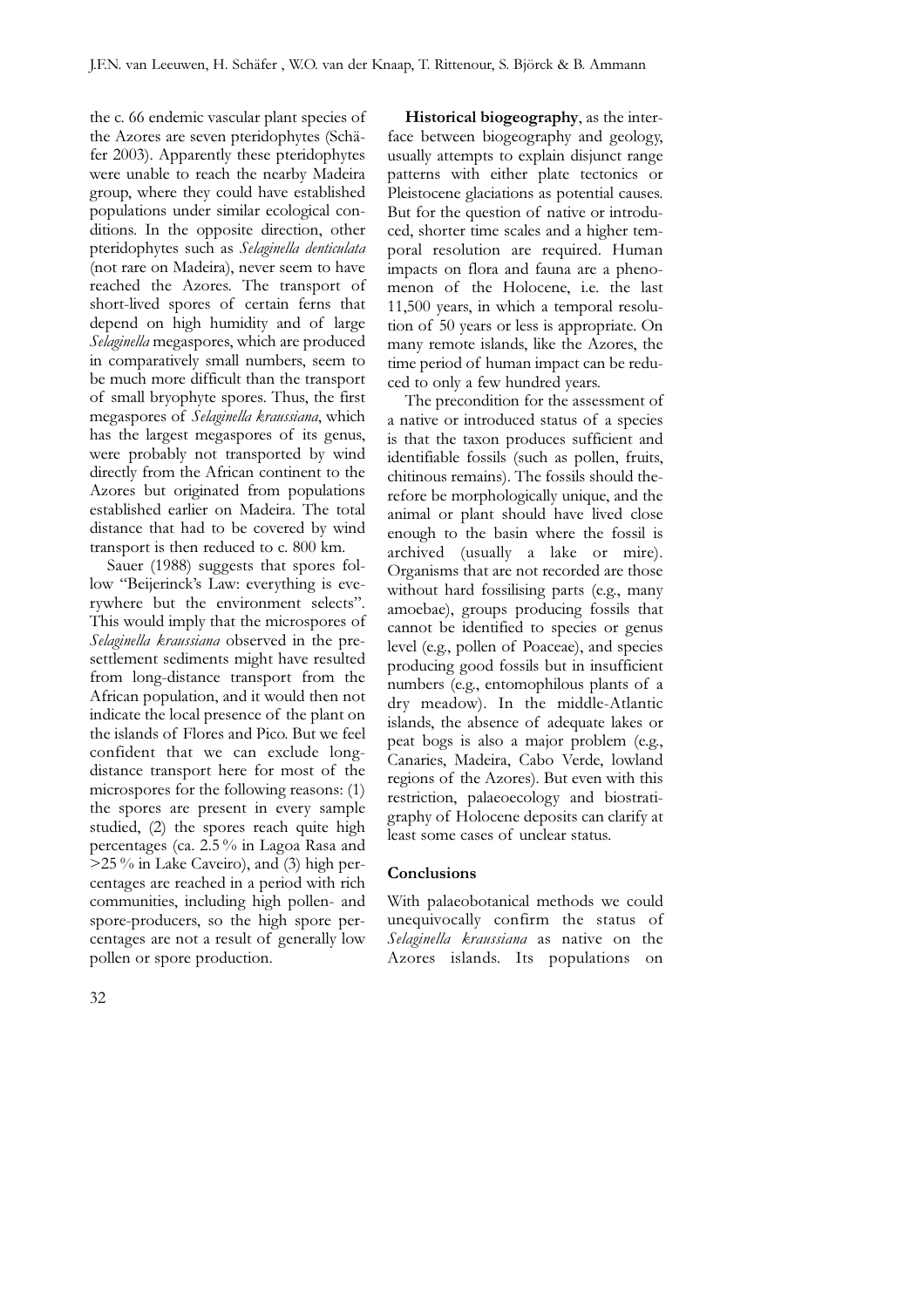the c. 66 endemic vascular plant species of the Azores are seven pteridophytes (Schäfer 2003). Apparently these pteridophytes were unable to reach the nearby Madeira group, where they could have established populations under similar ecological conditions. In the opposite direction, other pteridophytes such as Selaginella denticulata (not rare on Madeira), never seem to have reached the Azores. The transport of short-lived spores of certain ferns that depend on high humidity and of large Selaginella megaspores, which are produced in comparatively small numbers, seem to be much more difficult than the transport of small bryophyte spores. Thus, the first megaspores of Selaginella kraussiana, which has the largest megaspores of its genus, were probably not transported by wind directly from the African continent to the Azores but originated from populations established earlier on Madeira. The total distance that had to be covered by wind transport is then reduced to c. 800 km.

Sauer (1988) suggests that spores follow "Beijerinck's Law: everything is everywhere but the environment selects". This would imply that the microspores of Selaginella kraussiana observed in the presettlement sediments might have resulted from long-distance transport from the African population, and it would then not indicate the local presence of the plant on the islands of Flores and Pico. But we feel confident that we can exclude longdistance transport here for most of the microspores for the following reasons: (1) the spores are present in every sample studied, (2) the spores reach quite high percentages (ca. 2.5 % in Lagoa Rasa and >25 % in Lake Caveiro), and (3) high percentages are reached in a period with rich communities, including high pollen- and spore-producers, so the high spore percentages are not a result of generally low pollen or spore production.

Historical biogeography, as the interface between biogeography and geology, usually attempts to explain disjunct range patterns with either plate tectonics or Pleistocene glaciations as potential causes. But for the question of native or introduced, shorter time scales and a higher temporal resolution are required. Human impacts on flora and fauna are a phenomenon of the Holocene, i.e. the last 11,500 years, in which a temporal resolution of 50 years or less is appropriate. On many remote islands, like the Azores, the time period of human impact can be reduced to only a few hundred years.

The precondition for the assessment of a native or introduced status of a species is that the taxon produces sufficient and identifiable fossils (such as pollen, fruits, chitinous remains). The fossils should therefore be morphologically unique, and the animal or plant should have lived close enough to the basin where the fossil is archived (usually a lake or mire). Organisms that are not recorded are those without hard fossilising parts (e.g., many amoebae), groups producing fossils that cannot be identified to species or genus level (e.g., pollen of Poaceae), and species producing good fossils but in insufficient numbers (e.g., entomophilous plants of a dry meadow). In the middle-Atlantic islands, the absence of adequate lakes or peat bogs is also a major problem (e.g., Canaries, Madeira, Cabo Verde, lowland regions of the Azores). But even with this restriction, palaeoecology and biostratigraphy of Holocene deposits can clarify at least some cases of unclear status.

### **Conclusions**

With palaeobotanical methods we could unequivocally confirm the status of Selaginella kraussiana as native on the Azores islands. Its populations on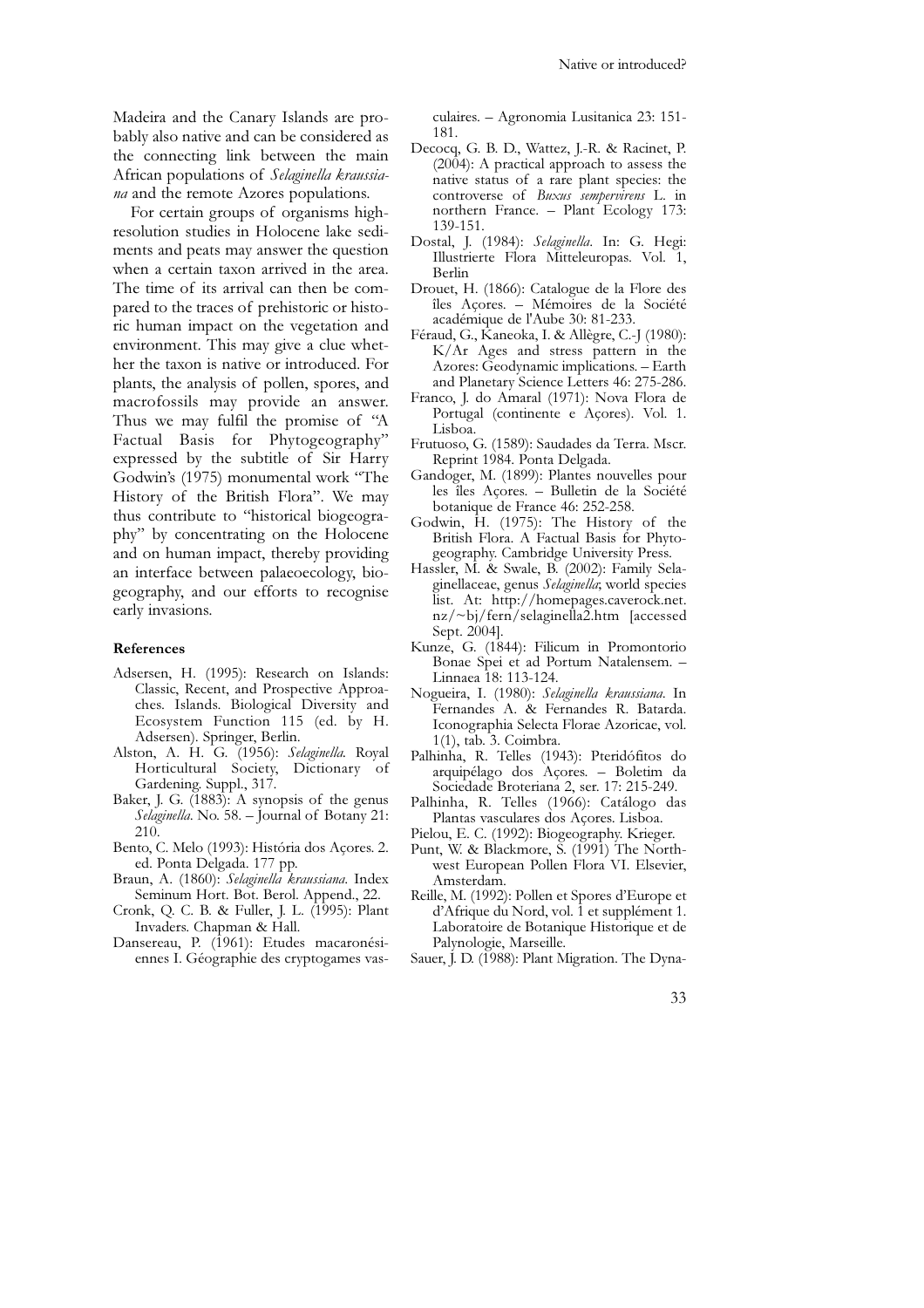Madeira and the Canary Islands are probably also native and can be considered as the connecting link between the main African populations of Selaginella kraussiana and the remote Azores populations.

For certain groups of organisms highresolution studies in Holocene lake sediments and peats may answer the question when a certain taxon arrived in the area. The time of its arrival can then be compared to the traces of prehistoric or historic human impact on the vegetation and environment. This may give a clue whether the taxon is native or introduced. For plants, the analysis of pollen, spores, and macrofossils may provide an answer. Thus we may fulfil the promise of "A Factual Basis for Phytogeography" expressed by the subtitle of Sir Harry Godwin's (1975) monumental work "The History of the British Flora". We may thus contribute to "historical biogeography" by concentrating on the Holocene and on human impact, thereby providing an interface between palaeoecology, biogeography, and our efforts to recognise early invasions.

#### References

- Adsersen, H. (1995): Research on Islands: Classic, Recent, and Prospective Approaches. Islands. Biological Diversity and Ecosystem Function 115 (ed. by H. Adsersen). Springer, Berlin.
- Alston, A. H. G. (1956): Selaginella. Royal Horticultural Society, Dictionary of Gardening. Suppl., 317.
- Baker, J. G. (1883): A synopsis of the genus Selaginella. No. 58. – Journal of Botany 21: 210.
- Bento, C. Melo (1993): História dos Açores. 2. ed. Ponta Delgada. 177 pp.
- Braun, A. (1860): Selaginella kraussiana. Index Seminum Hort. Bot. Berol. Append., 22.
- Cronk, Q. C. B. & Fuller, J. L. (1995): Plant Invaders. Chapman & Hall.
- Dansereau, P. (1961): Etudes macaronésiennes I. Géographie des cryptogames vas-

culaires. – Agronomia Lusitanica 23: 151- 181.

- Decocq, G. B. D., Wattez, J.-R. & Racinet, P.  $(2004)$ : A practical approach to assess the native status of a rare plant species: the controverse of Buxus sempervirens L. in northern France. – Plant Ecology 173: 139-151.
- Dostal, J. (1984): Selaginella. In: G. Hegi: Illustrierte Flora Mitteleuropas. Vol. 1, Berlin
- Drouet, H. (1866): Catalogue de la Flore des îles Açores. – Mémoires de la Société académique de l'Aube 30: 81-233.
- Féraud, G., Kaneoka, I. & Allègre, C.-J (1980): K/Ar Ages and stress pattern in the Azores: Geodynamic implications. – Earth and Planetary Science Letters 46: 275-286.
- Franco, J. do Amaral (1971): Nova Flora de Portugal (continente e Açores). Vol. 1. Lisboa.
- Frutuoso, G. (1589): Saudades da Terra. Mscr. Reprint 1984. Ponta Delgada.
- Gandoger, M. (1899): Plantes nouvelles pour les îles Açores. – Bulletin de la Société botanique de France 46: 252-258.
- Godwin, H. (1975): The History of the British Flora. A Factual Basis for Phytogeography. Cambridge University Press.
- Hassler, M. & Swale, B. (2002): Family Selaginellaceae, genus Selaginella; world species list. At: http://homepages.caverock.net. nz/~bj/fern/selaginella2.htm [accessed Sept. 2004].
- Kunze, G. (1844): Filicum in Promontorio Bonae Spei et ad Portum Natalensem. – Linnaea 18: 113-124.
- Nogueira, I. (1980): Selaginella kraussiana. In Fernandes A. & Fernandes R. Batarda. Iconographia Selecta Florae Azoricae, vol. 1(1), tab. 3. Coimbra.
- Palhinha, R. Telles (1943): Pteridófitos do arquipélago dos Açores. – Boletim da Sociedade Broteriana 2, ser. 17: 215-249.
- Palhinha, R. Telles (1966): Catálogo das Plantas vasculares dos Açores. Lisboa.
- Pielou, E. C. (1992): Biogeography. Krieger.
- Punt, W. & Blackmore, S. (1991) The Northwest European Pollen Flora VI. Elsevier, Amsterdam.
- Reille, M. (1992): Pollen et Spores d'Europe et d'Afrique du Nord, vol. 1 et supplément 1. Laboratoire de Botanique Historique et de Palynologie, Marseille.
- Sauer, J. D. (1988): Plant Migration. The Dyna-